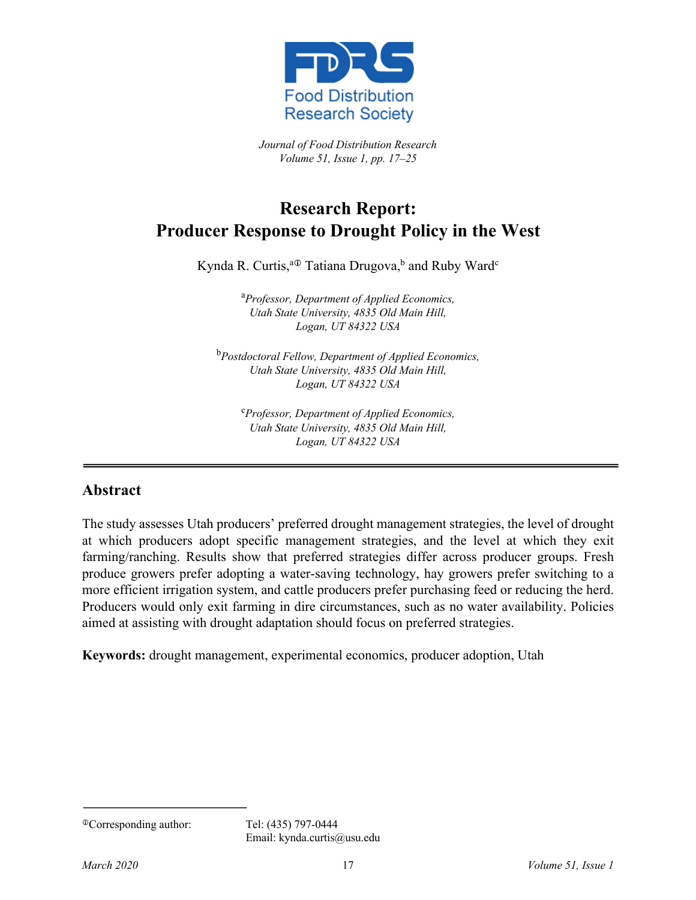

*Journal of Food Distribution Research Volume 51, Issue 1, pp. 17–25*

# **Research Report: Producer Response to Drought Policy in the West**

Kynda R. Curtis,<sup>a⊕</sup> Tatiana Drugova,<sup>b</sup> and Ruby Ward<sup>c</sup>

a *Professor, Department of Applied Economics, Utah State University, 4835 Old Main Hill, Logan, UT 84322 USA*

b *Postdoctoral Fellow, Department of Applied Economics, Utah State University, 4835 Old Main Hill, Logan, UT 84322 USA*

c *Professor, Department of Applied Economics, Utah State University, 4835 Old Main Hill, Logan, UT 84322 USA*

#### **Abstract**

The study assesses Utah producers' preferred drought management strategies, the level of drought at which producers adopt specific management strategies, and the level at which they exit farming/ranching. Results show that preferred strategies differ across producer groups. Fresh produce growers prefer adopting a water-saving technology, hay growers prefer switching to a more efficient irrigation system, and cattle producers prefer purchasing feed or reducing the herd. Producers would only exit farming in dire circumstances, such as no water availability. Policies aimed at assisting with drought adaptation should focus on preferred strategies.

**Keywords:** drought management, experimental economics, producer adoption, Utah

<sup>i</sup>Corresponding author: Tel: (435) 797-0444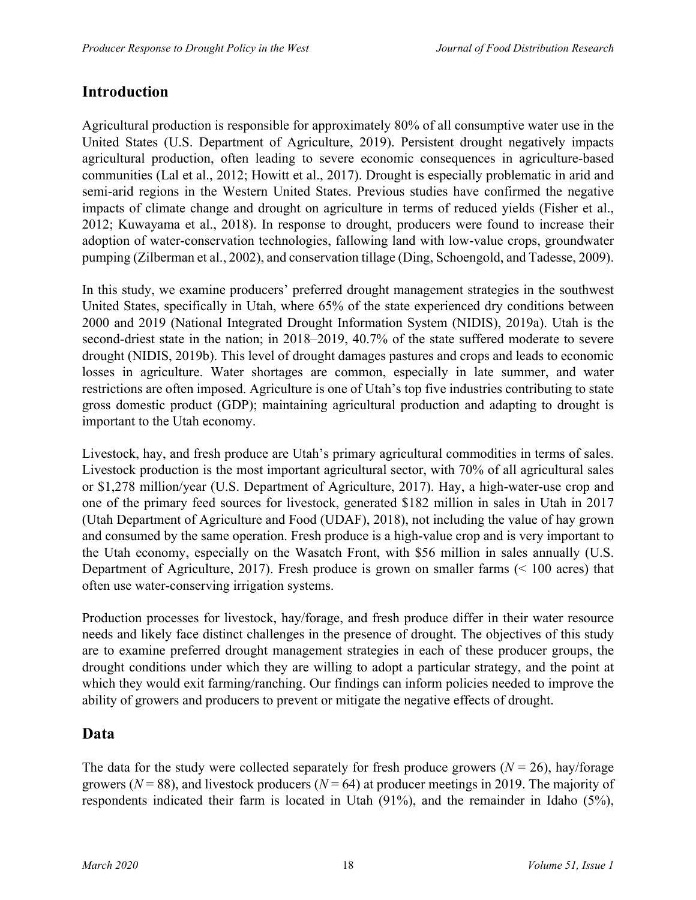### **Introduction**

Agricultural production is responsible for approximately 80% of all consumptive water use in the United States (U.S. Department of Agriculture, 2019). Persistent drought negatively impacts agricultural production, often leading to severe economic consequences in agriculture-based communities (Lal et al., 2012; Howitt et al., 2017). Drought is especially problematic in arid and semi-arid regions in the Western United States. Previous studies have confirmed the negative impacts of climate change and drought on agriculture in terms of reduced yields (Fisher et al., 2012; Kuwayama et al., 2018). In response to drought, producers were found to increase their adoption of water-conservation technologies, fallowing land with low-value crops, groundwater pumping (Zilberman et al., 2002), and conservation tillage (Ding, Schoengold, and Tadesse, 2009).

In this study, we examine producers' preferred drought management strategies in the southwest United States, specifically in Utah, where 65% of the state experienced dry conditions between 2000 and 2019 (National Integrated Drought Information System (NIDIS), 2019a). Utah is the second-driest state in the nation; in 2018–2019, 40.7% of the state suffered moderate to severe drought (NIDIS, 2019b). This level of drought damages pastures and crops and leads to economic losses in agriculture. Water shortages are common, especially in late summer, and water restrictions are often imposed. Agriculture is one of Utah's top five industries contributing to state gross domestic product (GDP); maintaining agricultural production and adapting to drought is important to the Utah economy.

Livestock, hay, and fresh produce are Utah's primary agricultural commodities in terms of sales. Livestock production is the most important agricultural sector, with 70% of all agricultural sales or \$1,278 million/year (U.S. Department of Agriculture, 2017). Hay, a high-water-use crop and one of the primary feed sources for livestock, generated \$182 million in sales in Utah in 2017 (Utah Department of Agriculture and Food (UDAF), 2018), not including the value of hay grown and consumed by the same operation. Fresh produce is a high-value crop and is very important to the Utah economy, especially on the Wasatch Front, with \$56 million in sales annually (U.S. Department of Agriculture, 2017). Fresh produce is grown on smaller farms (< 100 acres) that often use water-conserving irrigation systems.

Production processes for livestock, hay/forage, and fresh produce differ in their water resource needs and likely face distinct challenges in the presence of drought. The objectives of this study are to examine preferred drought management strategies in each of these producer groups, the drought conditions under which they are willing to adopt a particular strategy, and the point at which they would exit farming/ranching. Our findings can inform policies needed to improve the ability of growers and producers to prevent or mitigate the negative effects of drought.

#### **Data**

The data for the study were collected separately for fresh produce growers  $(N = 26)$ , hay/forage growers ( $N = 88$ ), and livestock producers ( $N = 64$ ) at producer meetings in 2019. The majority of respondents indicated their farm is located in Utah (91%), and the remainder in Idaho (5%),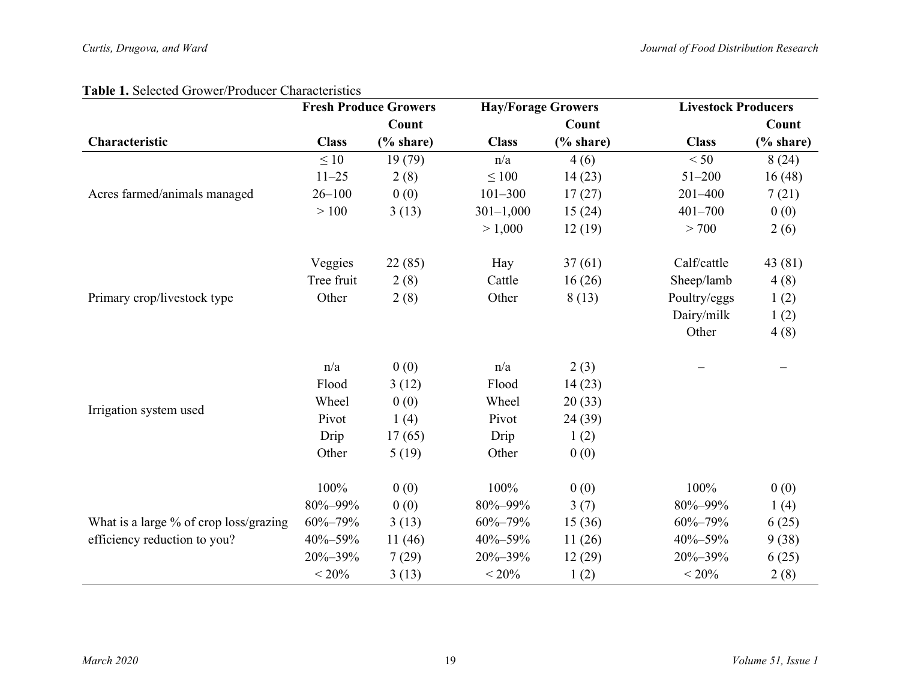#### **Table 1.** Selected Grower/Producer Characteristics

|                                        | <b>Fresh Produce Growers</b> |          |               | <b>Hay/Forage Growers</b> |               | <b>Livestock Producers</b> |  |
|----------------------------------------|------------------------------|----------|---------------|---------------------------|---------------|----------------------------|--|
|                                        |                              | Count    |               | Count                     |               | Count                      |  |
| Characteristic                         | <b>Class</b>                 | % share) | <b>Class</b>  | $%$ share)                | <b>Class</b>  | % share)                   |  |
|                                        | $\leq 10$                    | 19(79)   | n/a           | 4(6)                      | < 50          | 8(24)                      |  |
|                                        | $11 - 25$                    | 2(8)     | $\leq 100$    | 14(23)                    | $51 - 200$    | 16(48)                     |  |
| Acres farmed/animals managed           | $26 - 100$                   | 0(0)     | $101 - 300$   | 17(27)                    | $201 - 400$   | 7(21)                      |  |
|                                        | >100                         | 3(13)    | $301 - 1,000$ | 15(24)                    | $401 - 700$   | 0(0)                       |  |
|                                        |                              |          | > 1,000       | 12(19)                    | > 700         | 2(6)                       |  |
|                                        | Veggies                      | 22(85)   | Hay           | 37(61)                    | Calf/cattle   | 43 (81)                    |  |
|                                        | Tree fruit                   | 2(8)     | Cattle        | 16(26)                    | Sheep/lamb    | 4(8)                       |  |
| Primary crop/livestock type            | Other                        | 2(8)     | Other         | 8(13)                     | Poultry/eggs  | 1(2)                       |  |
|                                        |                              |          |               |                           | Dairy/milk    | 1(2)                       |  |
|                                        |                              |          |               |                           | Other         | 4(8)                       |  |
|                                        | n/a                          | 0(0)     | n/a           | 2(3)                      |               |                            |  |
|                                        | Flood                        | 3(12)    | Flood         | 14(23)                    |               |                            |  |
|                                        | Wheel                        | 0(0)     | Wheel         | 20(33)                    |               |                            |  |
| Irrigation system used                 | Pivot                        | 1(4)     | Pivot         | 24 (39)                   |               |                            |  |
|                                        | Drip                         | 17(65)   | Drip          | 1(2)                      |               |                            |  |
|                                        | Other                        | 5(19)    | Other         | 0(0)                      |               |                            |  |
|                                        | 100%                         | 0(0)     | 100%          | 0(0)                      | 100%          | 0(0)                       |  |
|                                        | 80%-99%                      | 0(0)     | 80%-99%       | 3(7)                      | 80%-99%       | 1(4)                       |  |
| What is a large % of crop loss/grazing | $60\% - 79\%$                | 3(13)    | 60%-79%       | 15(36)                    | $60\% - 79\%$ | 6(25)                      |  |
| efficiency reduction to you?           | 40%-59%                      | 11(46)   | 40%-59%       | 11(26)                    | 40%-59%       | 9(38)                      |  |
|                                        | 20%-39%                      | 7(29)    | 20%-39%       | 12(29)                    | 20%-39%       | 6(25)                      |  |
|                                        | $< 20\%$                     | 3(13)    | $< 20\%$      | 1(2)                      | $< 20\%$      | 2(8)                       |  |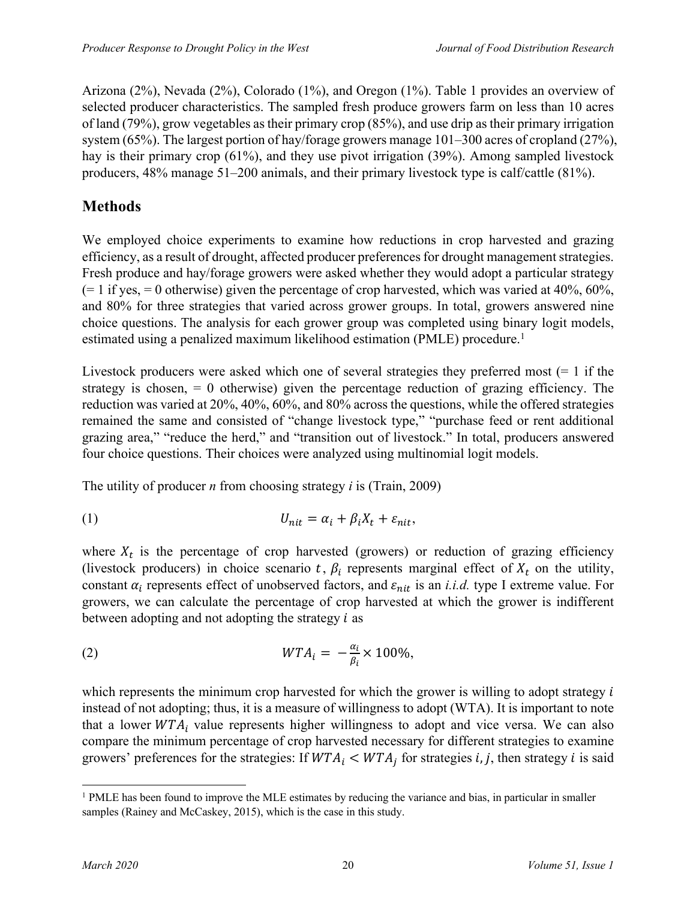Arizona (2%), Nevada (2%), Colorado (1%), and Oregon (1%). Table 1 provides an overview of selected producer characteristics. The sampled fresh produce growers farm on less than 10 acres of land (79%), grow vegetables as their primary crop (85%), and use drip as their primary irrigation system (65%). The largest portion of hay/forage growers manage 101–300 acres of cropland (27%), hay is their primary crop (61%), and they use pivot irrigation (39%). Among sampled livestock producers, 48% manage 51–200 animals, and their primary livestock type is calf/cattle (81%).

# **Methods**

We employed choice experiments to examine how reductions in crop harvested and grazing efficiency, as a result of drought, affected producer preferences for drought management strategies. Fresh produce and hay/forage growers were asked whether they would adopt a particular strategy  $(= 1 \text{ if yes}, = 0 \text{ otherwise})$  given the percentage of crop harvested, which was varied at 40%, 60%, and 80% for three strategies that varied across grower groups. In total, growers answered nine choice questions. The analysis for each grower group was completed using binary logit models, estimated using a penalized maximum likelihood estimation (PMLE) procedure.<sup>1</sup>

Livestock producers were asked which one of several strategies they preferred most  $(= 1 \text{ if the})$ strategy is chosen, = 0 otherwise) given the percentage reduction of grazing efficiency. The reduction was varied at 20%, 40%, 60%, and 80% across the questions, while the offered strategies remained the same and consisted of "change livestock type," "purchase feed or rent additional grazing area," "reduce the herd," and "transition out of livestock." In total, producers answered four choice questions. Their choices were analyzed using multinomial logit models.

The utility of producer *n* from choosing strategy *i* is (Train, 2009)

$$
(1) \t\t\t U_{nit} = \alpha_i + \beta_i X_t + \varepsilon_{nit},
$$

where  $X_t$  is the percentage of crop harvested (growers) or reduction of grazing efficiency (livestock producers) in choice scenario t,  $\beta_i$  represents marginal effect of  $X_t$  on the utility, constant  $\alpha_i$  represents effect of unobserved factors, and  $\varepsilon_{nit}$  is an *i.i.d.* type I extreme value. For growers, we can calculate the percentage of crop harvested at which the grower is indifferent between adopting and not adopting the strategy  $i$  as

(2) 
$$
WTA_i = -\frac{\alpha_i}{\beta_i} \times 100\%,
$$

which represents the minimum crop harvested for which the grower is willing to adopt strategy  $i$ instead of not adopting; thus, it is a measure of willingness to adopt (WTA). It is important to note that a lower  $WTA_i$  value represents higher willingness to adopt and vice versa. We can also compare the minimum percentage of crop harvested necessary for different strategies to examine growers' preferences for the strategies: If  $WTA_i \leq WTA_i$  for strategies *i*, *j*, then strategy *i* is said

<sup>&</sup>lt;sup>1</sup> PMLE has been found to improve the MLE estimates by reducing the variance and bias, in particular in smaller samples (Rainey and McCaskey, 2015), which is the case in this study.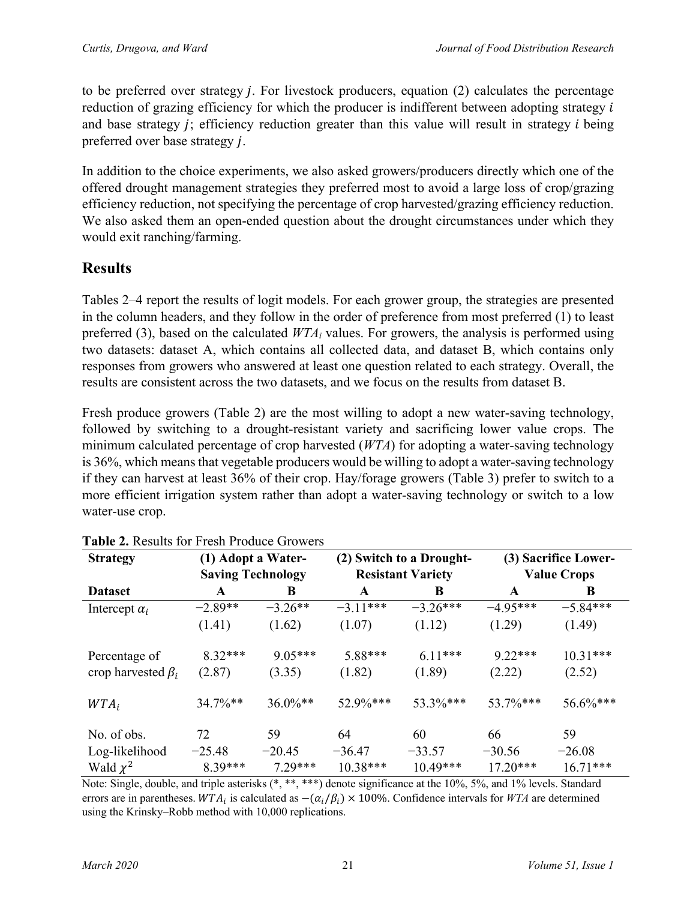to be preferred over strategy  $j$ . For livestock producers, equation  $(2)$  calculates the percentage reduction of grazing efficiency for which the producer is indifferent between adopting strategy  $i$ and base strategy  $j$ ; efficiency reduction greater than this value will result in strategy  $i$  being preferred over base strategy *j*.

In addition to the choice experiments, we also asked growers/producers directly which one of the offered drought management strategies they preferred most to avoid a large loss of crop/grazing efficiency reduction, not specifying the percentage of crop harvested/grazing efficiency reduction. We also asked them an open-ended question about the drought circumstances under which they would exit ranching/farming.

### **Results**

Tables 2–4 report the results of logit models. For each grower group, the strategies are presented in the column headers, and they follow in the order of preference from most preferred (1) to least preferred (3), based on the calculated *WTAi* values. For growers, the analysis is performed using two datasets: dataset A, which contains all collected data, and dataset B, which contains only responses from growers who answered at least one question related to each strategy. Overall, the results are consistent across the two datasets, and we focus on the results from dataset B.

Fresh produce growers (Table 2) are the most willing to adopt a new water-saving technology, followed by switching to a drought-resistant variety and sacrificing lower value crops. The minimum calculated percentage of crop harvested (*WTA*) for adopting a water-saving technology is 36%, which means that vegetable producers would be willing to adopt a water-saving technology if they can harvest at least 36% of their crop. Hay/forage growers (Table 3) prefer to switch to a more efficient irrigation system rather than adopt a water-saving technology or switch to a low water-use crop.

| <b>Strategy</b>          | (1) Adopt a Water-       |             | (2) Switch to a Drought- |             | (3) Sacrifice Lower- |            |
|--------------------------|--------------------------|-------------|--------------------------|-------------|----------------------|------------|
|                          | <b>Saving Technology</b> |             | <b>Resistant Variety</b> |             | <b>Value Crops</b>   |            |
| <b>Dataset</b>           | A                        | B           | A                        | B           | A                    | B          |
| Intercept $\alpha_i$     | $-2.89**$                | $-3.26**$   | $-3.11***$               | $-3.26***$  | $-4.95***$           | $-5.84***$ |
|                          | (1.41)                   | (1.62)      | (1.07)                   | (1.12)      | (1.29)               | (1.49)     |
| Percentage of            | $8.32***$                | $9.05***$   | 5.88***                  | $6.11***$   | $9.22***$            | $10.31***$ |
| crop harvested $\beta_i$ | (2.87)                   | (3.35)      | (1.82)                   | (1.89)      | (2.22)               | (2.52)     |
| $WTA_i$                  | $34.7\%**$               | $36.0\%$ ** | $52.9\%***$              | $53.3\%***$ | $53.7\%$ ***         | 56.6%***   |
| No. of obs.              | 72                       | 59          | 64                       | 60          | 66                   | 59         |
| Log-likelihood           | $-25.48$                 | $-20.45$    | $-36.47$                 | $-33.57$    | $-30.56$             | $-26.08$   |
| Wald $\chi^2$            | $8.39***$                | $7.29***$   | $10.38***$               | $10.49***$  | $17.20***$           | $16.71***$ |

**Table 2.** Results for Fresh Produce Growers

Note: Single, double, and triple asterisks (\*, \*\*, \*\*\*) denote significance at the 10%, 5%, and 1% levels. Standard errors are in parentheses.  $WTA_i$  is calculated as  $-(\alpha_i/\beta_i) \times 100\%$ . Confidence intervals for *WTA* are determined using the Krinsky–Robb method with 10,000 replications.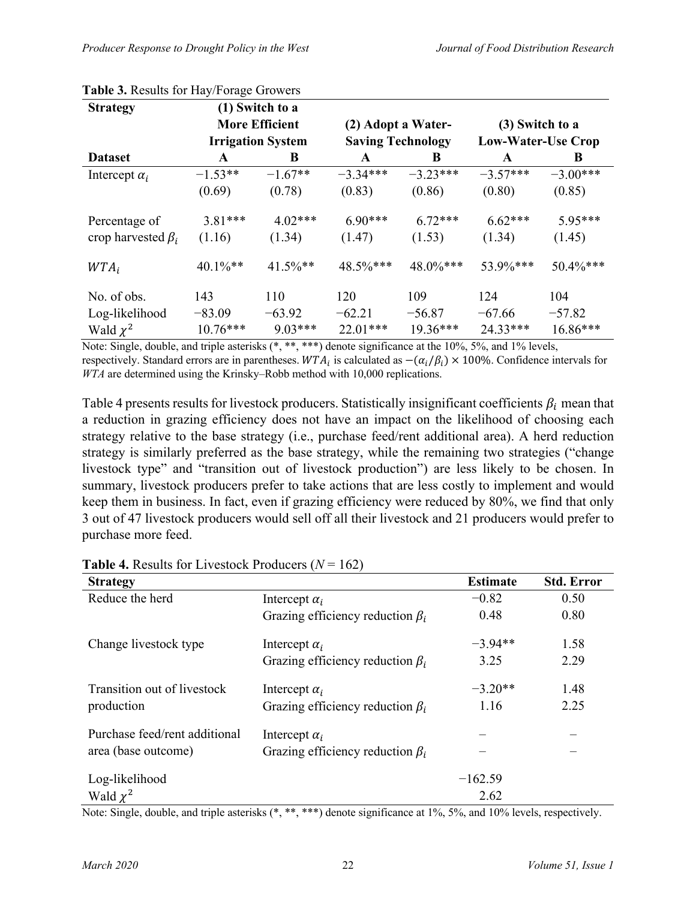| <b>Strategy</b>          |                          | (1) Switch to a |                          |             |                           |             |
|--------------------------|--------------------------|-----------------|--------------------------|-------------|---------------------------|-------------|
|                          | <b>More Efficient</b>    |                 | (2) Adopt a Water-       |             | (3) Switch to a           |             |
|                          | <b>Irrigation System</b> |                 | <b>Saving Technology</b> |             | <b>Low-Water-Use Crop</b> |             |
| <b>Dataset</b>           | A                        | B               | $\mathbf{A}$             | B           | A                         | B           |
| Intercept $\alpha_i$     | $-1.53**$                | $-1.67**$       | $-3.34***$               | $-3.23***$  | $-3.57***$                | $-3.00***$  |
|                          | (0.69)                   | (0.78)          | (0.83)                   | (0.86)      | (0.80)                    | (0.85)      |
| Percentage of            | $3.81***$                | $4.02***$       | $6.90***$                | $6.72***$   | $6.62***$                 | 5.95***     |
| crop harvested $\beta_i$ | (1.16)                   | (1.34)          | (1.47)                   | (1.53)      | (1.34)                    | (1.45)      |
| $WTA_i$                  | $40.1\%$ **              | $41.5\%$ **     | 48.5%***                 | $48.0\%***$ | 53.9%***                  | $50.4\%***$ |
| No. of obs.              | 143                      | 110             | 120                      | 109         | 124                       | 104         |
| Log-likelihood           | $-83.09$                 | $-63.92$        | $-62.21$                 | $-56.87$    | $-67.66$                  | $-57.82$    |
| Wald $\chi^2$            | $10.76***$               | $9.03***$       | $22.01***$               | $19.36***$  | 24.33***                  | $16.86***$  |

#### **Table 3.** Results for Hay/Forage Growers

Note: Single, double, and triple asterisks  $(*, **, ***)$  denote significance at the 10%, 5%, and 1% levels, respectively. Standard errors are in parentheses.  $WTA_i$  is calculated as  $-(\alpha_i/\beta_i) \times 100\%$ . Confidence intervals for *WTA* are determined using the Krinsky–Robb method with 10,000 replications.

Table 4 presents results for livestock producers. Statistically insignificant coefficients  $\beta_i$  mean that a reduction in grazing efficiency does not have an impact on the likelihood of choosing each strategy relative to the base strategy (i.e., purchase feed/rent additional area). A herd reduction strategy is similarly preferred as the base strategy, while the remaining two strategies ("change livestock type" and "transition out of livestock production") are less likely to be chosen. In summary, livestock producers prefer to take actions that are less costly to implement and would keep them in business. In fact, even if grazing efficiency were reduced by 80%, we find that only 3 out of 47 livestock producers would sell off all their livestock and 21 producers would prefer to purchase more feed.

| <b>Strategy</b>               |                                        | <b>Estimate</b> | <b>Std. Error</b> |
|-------------------------------|----------------------------------------|-----------------|-------------------|
| Reduce the herd               | Intercept $\alpha_i$                   | $-0.82$         | 0.50              |
|                               | Grazing efficiency reduction $\beta_i$ | 0.48            | 0.80              |
| Change livestock type         | Intercept $\alpha_i$                   | $-3.94**$       | 1.58              |
|                               | Grazing efficiency reduction $\beta_i$ | 3.25            | 2.29              |
| Transition out of livestock   | Intercept $\alpha_i$                   | $-3.20**$       | 1.48              |
| production                    | Grazing efficiency reduction $\beta_i$ | 1.16            | 2.25              |
| Purchase feed/rent additional | Intercept $\alpha_i$                   |                 |                   |
| area (base outcome)           | Grazing efficiency reduction $\beta_i$ |                 |                   |
| Log-likelihood                |                                        | $-162.59$       |                   |
| Wald $\chi^2$                 |                                        | 2.62            |                   |

**Table 4.** Results for Livestock Producers  $(N = 162)$ 

Note: Single, double, and triple asterisks (\*, \*\*, \*\*\*) denote significance at 1%, 5%, and 10% levels, respectively.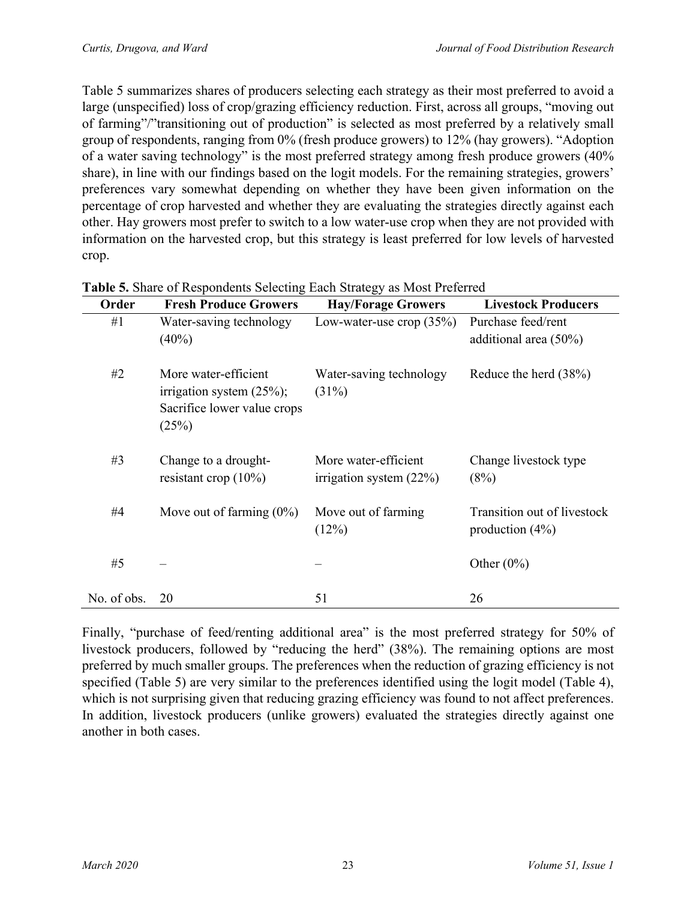Table 5 summarizes shares of producers selecting each strategy as their most preferred to avoid a large (unspecified) loss of crop/grazing efficiency reduction. First, across all groups, "moving out of farming"/"transitioning out of production" is selected as most preferred by a relatively small group of respondents, ranging from 0% (fresh produce growers) to 12% (hay growers). "Adoption of a water saving technology" is the most preferred strategy among fresh produce growers (40% share), in line with our findings based on the logit models. For the remaining strategies, growers' preferences vary somewhat depending on whether they have been given information on the percentage of crop harvested and whether they are evaluating the strategies directly against each other. Hay growers most prefer to switch to a low water-use crop when they are not provided with information on the harvested crop, but this strategy is least preferred for low levels of harvested crop.

| Order       | <b>Fresh Produce Growers</b>                                                                 | <b>Hay/Forage Growers</b>                         | <b>Livestock Producers</b>                       |
|-------------|----------------------------------------------------------------------------------------------|---------------------------------------------------|--------------------------------------------------|
| #1          | Water-saving technology<br>$(40\%)$                                                          | Low-water-use crop $(35%)$                        | Purchase feed/rent<br>additional area $(50\%)$   |
| #2          | More water-efficient<br>irrigation system $(25\%)$ ;<br>Sacrifice lower value crops<br>(25%) | Water-saving technology<br>(31%)                  | Reduce the herd $(38%)$                          |
| #3          | Change to a drought-<br>resistant crop $(10\%)$                                              | More water-efficient<br>irrigation system $(22%)$ | Change livestock type<br>(8%)                    |
| #4          | Move out of farming $(0\%)$                                                                  | Move out of farming<br>(12%)                      | Transition out of livestock<br>production $(4%)$ |
| #5          |                                                                                              |                                                   | Other $(0\%)$                                    |
| No. of obs. | 20                                                                                           | 51                                                | 26                                               |

**Table 5.** Share of Respondents Selecting Each Strategy as Most Preferred

Finally, "purchase of feed/renting additional area" is the most preferred strategy for 50% of livestock producers, followed by "reducing the herd" (38%). The remaining options are most preferred by much smaller groups. The preferences when the reduction of grazing efficiency is not specified (Table 5) are very similar to the preferences identified using the logit model (Table 4), which is not surprising given that reducing grazing efficiency was found to not affect preferences. In addition, livestock producers (unlike growers) evaluated the strategies directly against one another in both cases.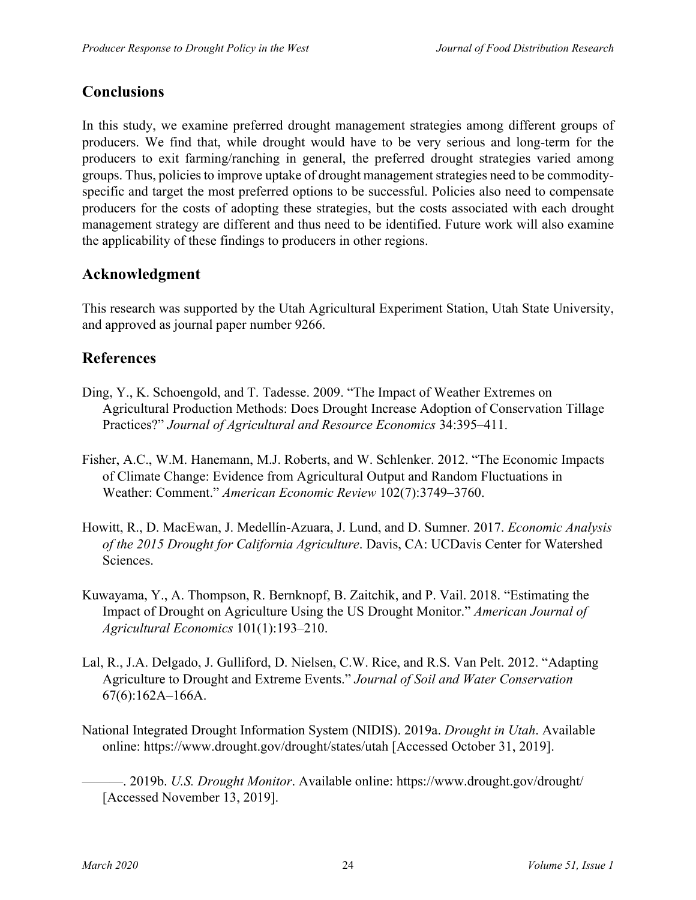# **Conclusions**

In this study, we examine preferred drought management strategies among different groups of producers. We find that, while drought would have to be very serious and long-term for the producers to exit farming/ranching in general, the preferred drought strategies varied among groups. Thus, policies to improve uptake of drought management strategies need to be commodityspecific and target the most preferred options to be successful. Policies also need to compensate producers for the costs of adopting these strategies, but the costs associated with each drought management strategy are different and thus need to be identified. Future work will also examine the applicability of these findings to producers in other regions.

# **Acknowledgment**

This research was supported by the Utah Agricultural Experiment Station, Utah State University, and approved as journal paper number 9266.

# **References**

- Ding, Y., K. Schoengold, and T. Tadesse. 2009. "The Impact of Weather Extremes on Agricultural Production Methods: Does Drought Increase Adoption of Conservation Tillage Practices?" *Journal of Agricultural and Resource Economics* 34:395–411.
- Fisher, A.C., W.M. Hanemann, M.J. Roberts, and W. Schlenker. 2012. "The Economic Impacts of Climate Change: Evidence from Agricultural Output and Random Fluctuations in Weather: Comment." *American Economic Review* 102(7):3749–3760.
- Howitt, R., D. MacEwan, J. Medellín-Azuara, J. Lund, and D. Sumner. 2017. *Economic Analysis of the 2015 Drought for California Agriculture*. Davis, CA: UCDavis Center for Watershed Sciences.
- Kuwayama, Y., A. Thompson, R. Bernknopf, B. Zaitchik, and P. Vail. 2018. "Estimating the Impact of Drought on Agriculture Using the US Drought Monitor." *American Journal of Agricultural Economics* 101(1):193–210.
- Lal, R., J.A. Delgado, J. Gulliford, D. Nielsen, C.W. Rice, and R.S. Van Pelt. 2012. "Adapting Agriculture to Drought and Extreme Events." *Journal of Soil and Water Conservation* 67(6):162A–166A.
- National Integrated Drought Information System (NIDIS). 2019a. *Drought in Utah*. Available online: https://www.drought.gov/drought/states/utah [Accessed October 31, 2019].

———. 2019b. *U.S. Drought Monitor*. Available online: https://www.drought.gov/drought/ [Accessed November 13, 2019].